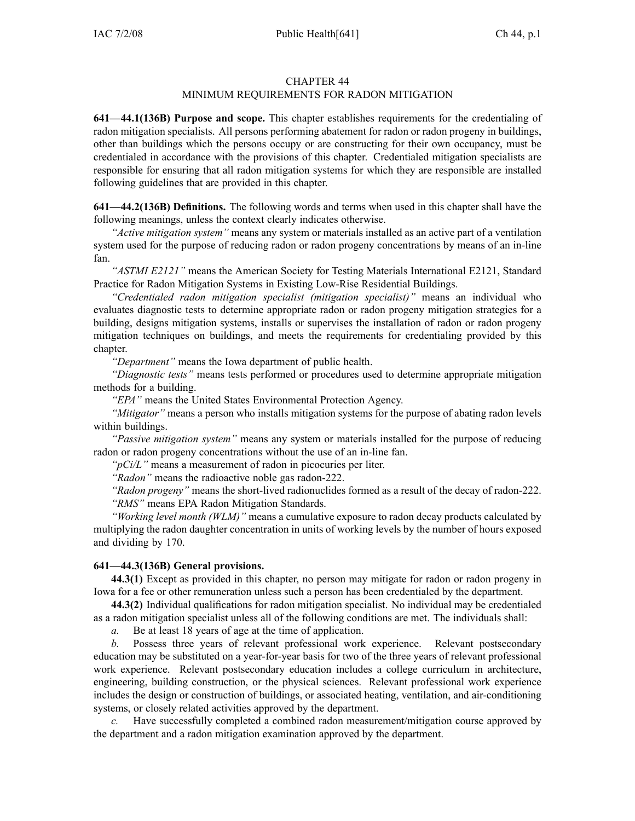## CHAPTER 44

## MINIMUM REQUIREMENTS FOR RADON MITIGATION

**641—44.1(136B) Purpose and scope.** This chapter establishes requirements for the credentialing of radon mitigation specialists. All persons performing abatement for radon or radon progeny in buildings, other than buildings which the persons occupy or are constructing for their own occupancy, must be credentialed in accordance with the provisions of this chapter. Credentialed mitigation specialists are responsible for ensuring that all radon mitigation systems for which they are responsible are installed following guidelines that are provided in this chapter.

**641—44.2(136B) Definitions.** The following words and terms when used in this chapter shall have the following meanings, unless the context clearly indicates otherwise.

*"Active mitigation system"* means any system or materials installed as an active par<sup>t</sup> of <sup>a</sup> ventilation system used for the purpose of reducing radon or radon progeny concentrations by means of an in-line fan.

*"ASTMI E2121"* means the American Society for Testing Materials International E2121, Standard Practice for Radon Mitigation Systems in Existing Low-Rise Residential Buildings.

*"Credentialed radon mitigation specialist (mitigation specialist)"* means an individual who evaluates diagnostic tests to determine appropriate radon or radon progeny mitigation strategies for <sup>a</sup> building, designs mitigation systems, installs or supervises the installation of radon or radon progeny mitigation techniques on buildings, and meets the requirements for credentialing provided by this chapter.

*"Department"* means the Iowa department of public health.

*"Diagnostic tests"* means tests performed or procedures used to determine appropriate mitigation methods for <sup>a</sup> building.

*"EPA"* means the United States Environmental Protection Agency.

*"Mitigator"* means <sup>a</sup> person who installs mitigation systems for the purpose of abating radon levels within buildings.

*"Passive mitigation system"* means any system or materials installed for the purpose of reducing radon or radon progeny concentrations without the use of an in-line fan.

*"pCi/L"* means <sup>a</sup> measurement of radon in picocuries per liter.

*"Radon"* means the radioactive noble gas radon-222.

*"Radon progeny"* means the short-lived radionuclides formed as <sup>a</sup> result of the decay of radon-222. *"RMS"* means EPA Radon Mitigation Standards.

*"Working level month (WLM)"* means <sup>a</sup> cumulative exposure to radon decay products calculated by multiplying the radon daughter concentration in units of working levels by the number of hours exposed and dividing by 170.

## **641—44.3(136B) General provisions.**

**44.3(1)** Except as provided in this chapter, no person may mitigate for radon or radon progeny in Iowa for <sup>a</sup> fee or other remuneration unless such <sup>a</sup> person has been credentialed by the department.

**44.3(2)** Individual qualifications for radon mitigation specialist. No individual may be credentialed as <sup>a</sup> radon mitigation specialist unless all of the following conditions are met. The individuals shall:

*a.* Be at least 18 years of age at the time of application.

*b.* Possess three years of relevant professional work experience. Relevant postsecondary education may be substituted on <sup>a</sup> year-for-year basis for two of the three years of relevant professional work experience. Relevant postsecondary education includes <sup>a</sup> college curriculum in architecture, engineering, building construction, or the physical sciences. Relevant professional work experience includes the design or construction of buildings, or associated heating, ventilation, and air-conditioning systems, or closely related activities approved by the department.

*c.* Have successfully completed <sup>a</sup> combined radon measurement/mitigation course approved by the department and <sup>a</sup> radon mitigation examination approved by the department.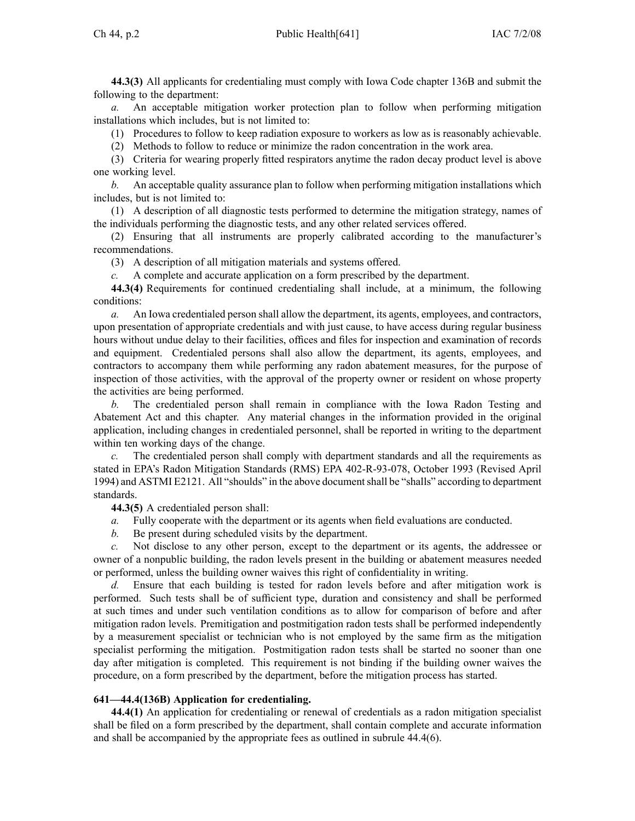**44.3(3)** All applicants for credentialing must comply with Iowa Code chapter [136B](https://www.legis.iowa.gov/docs/ico/chapter/136B.pdf) and submit the following to the department:

*a.* An acceptable mitigation worker protection plan to follow when performing mitigation installations which includes, but is not limited to:

(1) Procedures to follow to keep radiation exposure to workers as low as is reasonably achievable.

(2) Methods to follow to reduce or minimize the radon concentration in the work area.

(3) Criteria for wearing properly fitted respirators anytime the radon decay product level is above one working level.

*b.* An acceptable quality assurance plan to follow when performing mitigation installations which includes, but is not limited to:

(1) A description of all diagnostic tests performed to determine the mitigation strategy, names of the individuals performing the diagnostic tests, and any other related services offered.

(2) Ensuring that all instruments are properly calibrated according to the manufacturer's recommendations.

(3) A description of all mitigation materials and systems offered.

*c.* A complete and accurate application on <sup>a</sup> form prescribed by the department.

**44.3(4)** Requirements for continued credentialing shall include, at <sup>a</sup> minimum, the following conditions:

*a.* An Iowa credentialed person shall allow the department, its agents, employees, and contractors, upon presentation of appropriate credentials and with just cause, to have access during regular business hours without undue delay to their facilities, offices and files for inspection and examination of records and equipment. Credentialed persons shall also allow the department, its agents, employees, and contractors to accompany them while performing any radon abatement measures, for the purpose of inspection of those activities, with the approval of the property owner or resident on whose property the activities are being performed.

*b.* The credentialed person shall remain in compliance with the Iowa Radon Testing and Abatement Act and this chapter. Any material changes in the information provided in the original application, including changes in credentialed personnel, shall be reported in writing to the department within ten working days of the change.

The credentialed person shall comply with department standards and all the requirements as stated in EPA's Radon Mitigation Standards (RMS) EPA 402-R-93-078, October 1993 (Revised April 1994) and ASTMI E2121. All "shoulds" in the above documentshall be "shalls" according to department standards.

**44.3(5)** A credentialed person shall:

- *a.* Fully cooperate with the department or its agents when field evaluations are conducted.
- *b.* Be presen<sup>t</sup> during scheduled visits by the department.

*c.* Not disclose to any other person, excep<sup>t</sup> to the department or its agents, the addressee or owner of <sup>a</sup> nonpublic building, the radon levels presen<sup>t</sup> in the building or abatement measures needed or performed, unless the building owner waives this right of confidentiality in writing.

*d.* Ensure that each building is tested for radon levels before and after mitigation work is performed. Such tests shall be of sufficient type, duration and consistency and shall be performed at such times and under such ventilation conditions as to allow for comparison of before and after mitigation radon levels. Premitigation and postmitigation radon tests shall be performed independently by <sup>a</sup> measurement specialist or technician who is not employed by the same firm as the mitigation specialist performing the mitigation. Postmitigation radon tests shall be started no sooner than one day after mitigation is completed. This requirement is not binding if the building owner waives the procedure, on <sup>a</sup> form prescribed by the department, before the mitigation process has started.

## **641—44.4(136B) Application for credentialing.**

**44.4(1)** An application for credentialing or renewal of credentials as <sup>a</sup> radon mitigation specialist shall be filed on <sup>a</sup> form prescribed by the department, shall contain complete and accurate information and shall be accompanied by the appropriate fees as outlined in subrule 44.4(6).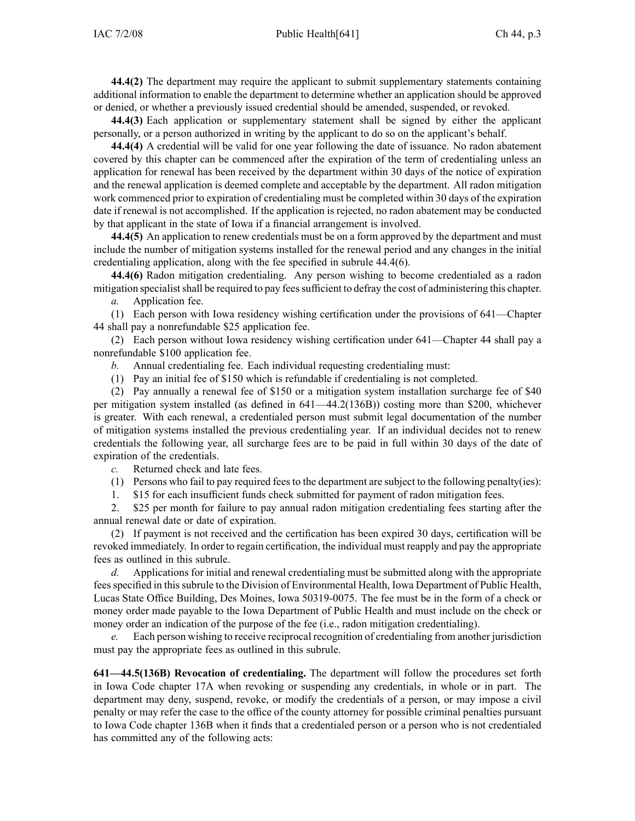**44.4(2)** The department may require the applicant to submit supplementary statements containing

additional information to enable the department to determine whether an application should be approved or denied, or whether <sup>a</sup> previously issued credential should be amended, suspended, or revoked.

**44.4(3)** Each application or supplementary statement shall be signed by either the applicant personally, or <sup>a</sup> person authorized in writing by the applicant to do so on the applicant's behalf.

**44.4(4)** A credential will be valid for one year following the date of issuance. No radon abatement covered by this chapter can be commenced after the expiration of the term of credentialing unless an application for renewal has been received by the department within 30 days of the notice of expiration and the renewal application is deemed complete and acceptable by the department. All radon mitigation work commenced prior to expiration of credentialing must be completed within 30 days of the expiration date if renewal is not accomplished. If the application is rejected, no radon abatement may be conducted by that applicant in the state of Iowa if <sup>a</sup> financial arrangemen<sup>t</sup> is involved.

**44.4(5)** An application to renew credentials must be on <sup>a</sup> form approved by the department and must include the number of mitigation systems installed for the renewal period and any changes in the initial credentialing application, along with the fee specified in subrule 44.4(6).

**44.4(6)** Radon mitigation credentialing. Any person wishing to become credentialed as <sup>a</sup> radon mitigation specialistshall be required to pay feessufficient to defray the cost of administering this chapter.

*a.* Application fee.

(1) Each person with Iowa residency wishing certification under the provisions of 641—Chapter 44 shall pay <sup>a</sup> nonrefundable \$25 application fee.

(2) Each person without Iowa residency wishing certification under 641—Chapter 44 shall pay <sup>a</sup> nonrefundable \$100 application fee.

- *b.* Annual credentialing fee. Each individual requesting credentialing must:
- (1) Pay an initial fee of \$150 which is refundable if credentialing is not completed.

(2) Pay annually <sup>a</sup> renewal fee of \$150 or <sup>a</sup> mitigation system installation surcharge fee of \$40 per mitigation system installed (as defined in 641—44.2(136B)) costing more than \$200, whichever is greater. With each renewal, <sup>a</sup> credentialed person must submit legal documentation of the number of mitigation systems installed the previous credentialing year. If an individual decides not to renew credentials the following year, all surcharge fees are to be paid in full within 30 days of the date of expiration of the credentials.

*c.* Returned check and late fees.

(1) Persons who fail to pay required feesto the department are subject to the following penalty(ies):

1. \$15 for each insufficient funds check submitted for paymen<sup>t</sup> of radon mitigation fees.

2. \$25 per month for failure to pay annual radon mitigation credentialing fees starting after the annual renewal date or date of expiration.

(2) If paymen<sup>t</sup> is not received and the certification has been expired 30 days, certification will be revoked immediately. In order to regain certification, the individual must reapply and pay the appropriate fees as outlined in this subrule.

*d.* Applications for initial and renewal credentialing must be submitted along with the appropriate feesspecified in thissubrule to the Division of Environmental Health, Iowa Department of Public Health, Lucas State Office Building, Des Moines, Iowa 50319-0075. The fee must be in the form of <sup>a</sup> check or money order made payable to the Iowa Department of Public Health and must include on the check or money order an indication of the purpose of the fee (i.e., radon mitigation credentialing).

*e.* Each person wishing to receive reciprocal recognition of credentialing from another jurisdiction must pay the appropriate fees as outlined in this subrule.

**641—44.5(136B) Revocation of credentialing.** The department will follow the procedures set forth in Iowa Code chapter [17A](https://www.legis.iowa.gov/docs/ico/chapter/17A.pdf) when revoking or suspending any credentials, in whole or in part. The department may deny, suspend, revoke, or modify the credentials of <sup>a</sup> person, or may impose <sup>a</sup> civil penalty or may refer the case to the office of the county attorney for possible criminal penalties pursuan<sup>t</sup> to Iowa Code chapter [136B](https://www.legis.iowa.gov/docs/ico/chapter/136B.pdf) when it finds that <sup>a</sup> credentialed person or <sup>a</sup> person who is not credentialed has committed any of the following acts: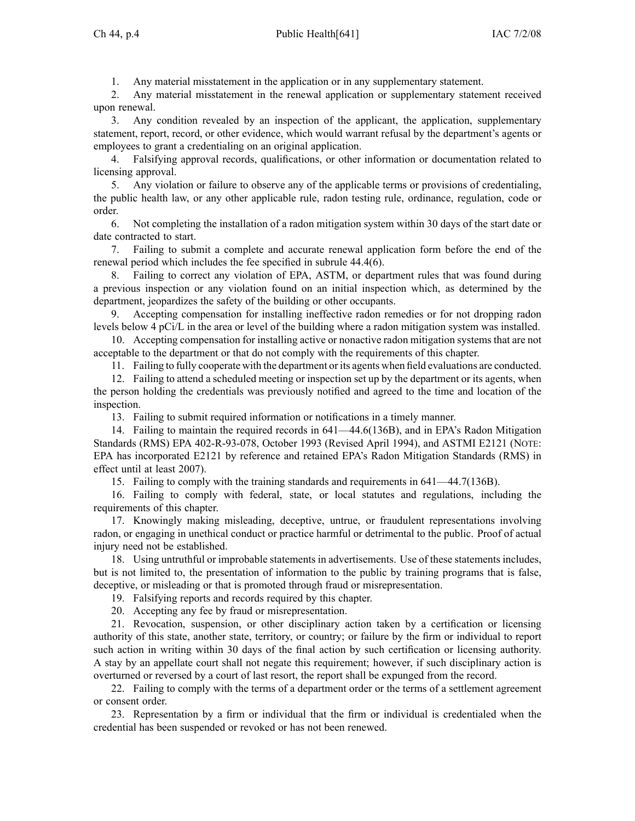1. Any material misstatement in the application or in any supplementary statement.

2. Any material misstatement in the renewal application or supplementary statement received upon renewal.

3. Any condition revealed by an inspection of the applicant, the application, supplementary statement, report, record, or other evidence, which would warrant refusal by the department's agents or employees to gran<sup>t</sup> <sup>a</sup> credentialing on an original application.

4. Falsifying approval records, qualifications, or other information or documentation related to licensing approval.

5. Any violation or failure to observe any of the applicable terms or provisions of credentialing, the public health law, or any other applicable rule, radon testing rule, ordinance, regulation, code or order.

6. Not completing the installation of <sup>a</sup> radon mitigation system within 30 days of the start date or date contracted to start.

7. Failing to submit <sup>a</sup> complete and accurate renewal application form before the end of the renewal period which includes the fee specified in subrule 44.4(6).

8. Failing to correct any violation of EPA, ASTM, or department rules that was found during <sup>a</sup> previous inspection or any violation found on an initial inspection which, as determined by the department, jeopardizes the safety of the building or other occupants.

9. Accepting compensation for installing ineffective radon remedies or for not dropping radon levels below 4 pCi/L in the area or level of the building where <sup>a</sup> radon mitigation system was installed.

10. Accepting compensation for installing active or nonactive radon mitigation systems that are not acceptable to the department or that do not comply with the requirements of this chapter.

11. Failing to fully cooperate with the department or its agents when field evaluations are conducted.

12. Failing to attend <sup>a</sup> scheduled meeting or inspection set up by the department or its agents, when the person holding the credentials was previously notified and agreed to the time and location of the inspection.

13. Failing to submit required information or notifications in <sup>a</sup> timely manner.

14. Failing to maintain the required records in 641—44.6(136B), and in EPA's Radon Mitigation Standards (RMS) EPA 402-R-93-078, October 1993 (Revised April 1994), and ASTMI E2121 (NOTE: EPA has incorporated E2121 by reference and retained EPA's Radon Mitigation Standards (RMS) in effect until at least 2007).

15. Failing to comply with the training standards and requirements in 641—44.7(136B).

16. Failing to comply with federal, state, or local statutes and regulations, including the requirements of this chapter.

17. Knowingly making misleading, deceptive, untrue, or fraudulent representations involving radon, or engaging in unethical conduct or practice harmful or detrimental to the public. Proof of actual injury need not be established.

18. Using untruthful or improbable statements in advertisements. Use of these statements includes, but is not limited to, the presentation of information to the public by training programs that is false, deceptive, or misleading or that is promoted through fraud or misrepresentation.

19. Falsifying reports and records required by this chapter.

20. Accepting any fee by fraud or misrepresentation.

21. Revocation, suspension, or other disciplinary action taken by <sup>a</sup> certification or licensing authority of this state, another state, territory, or country; or failure by the firm or individual to repor<sup>t</sup> such action in writing within 30 days of the final action by such certification or licensing authority. A stay by an appellate court shall not negate this requirement; however, if such disciplinary action is overturned or reversed by <sup>a</sup> court of last resort, the repor<sup>t</sup> shall be expunged from the record.

22. Failing to comply with the terms of <sup>a</sup> department order or the terms of <sup>a</sup> settlement agreemen<sup>t</sup> or consent order.

23. Representation by <sup>a</sup> firm or individual that the firm or individual is credentialed when the credential has been suspended or revoked or has not been renewed.